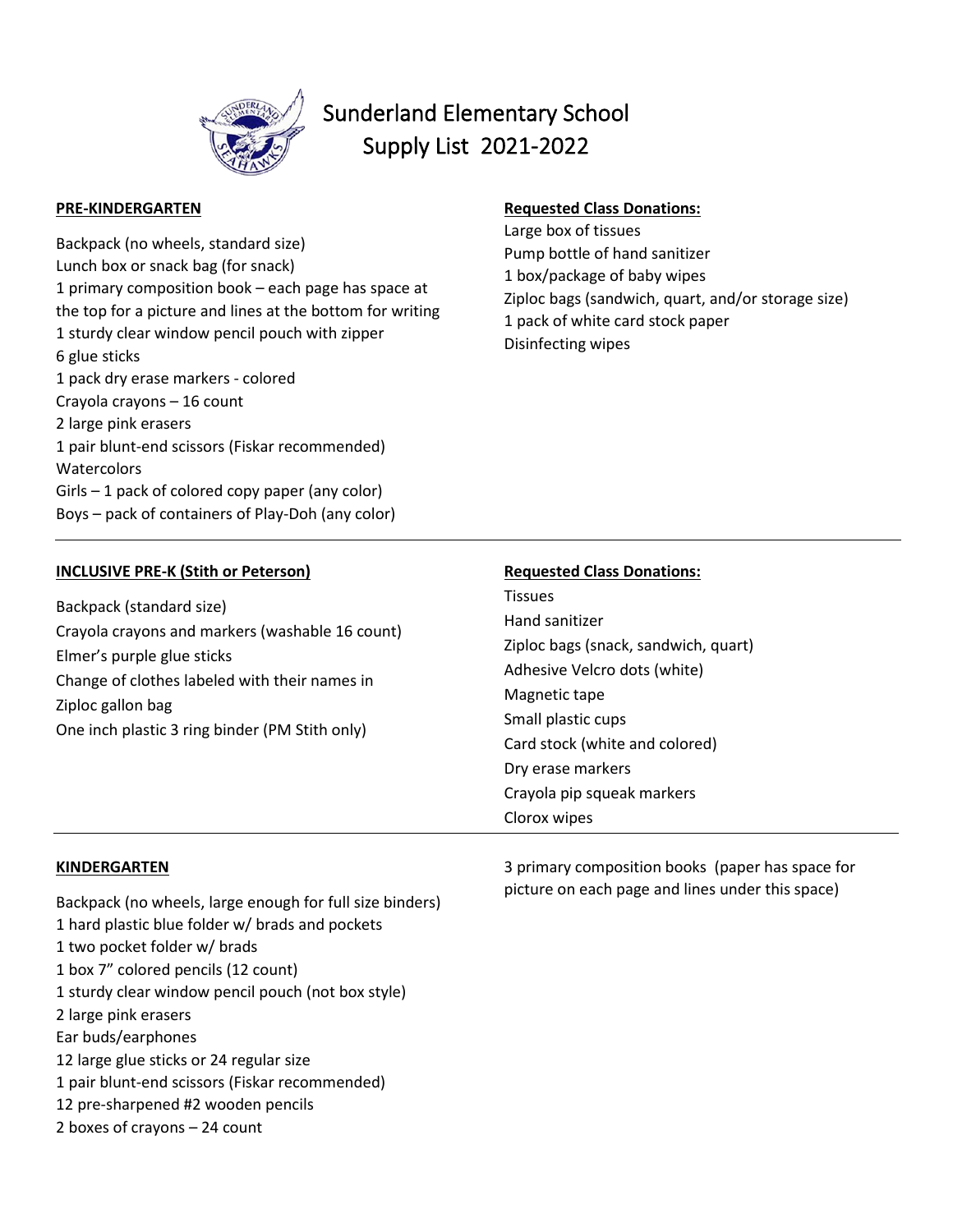

# Sunderland Elementary School Supply List 2021-2022

## **PRE-KINDERGARTEN**

Backpack (no wheels, standard size) Lunch box or snack bag (for snack) 1 primary composition book – each page has space at the top for a picture and lines at the bottom for writing 1 sturdy clear window pencil pouch with zipper 6 glue sticks 1 pack dry erase markers - colored Crayola crayons – 16 count 2 large pink erasers 1 pair blunt-end scissors (Fiskar recommended) **Watercolors** Girls – 1 pack of colored copy paper (any color) Boys – pack of containers of Play-Doh (any color)

## **Requested Class Donations:**

Large box of tissues Pump bottle of hand sanitizer 1 box/package of baby wipes Ziploc bags (sandwich, quart, and/or storage size) 1 pack of white card stock paper Disinfecting wipes

#### **INCLUSIVE PRE-K (Stith or Peterson)** Backpack (standard size) Crayola crayons and markers (washable 16 count) Elmer's purple glue sticks Change of clothes labeled with their names in Ziploc gallon bag One inch plastic 3 ring binder (PM Stith only) **Requested Class Donations: Tissues** Hand sanitizer Ziploc bags (snack, sandwich, quart) Adhesive Velcro dots (white) Magnetic tape Small plastic cups Card stock (white and colored) Dry erase markers Crayola pip squeak markers

### **KINDERGARTEN**

Backpack (no wheels, large enough for full size binders) 1 hard plastic blue folder w/ brads and pockets 1 two pocket folder w/ brads 1 box 7" colored pencils (12 count) 1 sturdy clear window pencil pouch (not box style) 2 large pink erasers Ear buds/earphones 12 large glue sticks or 24 regular size 1 pair blunt-end scissors (Fiskar recommended) 12 pre-sharpened #2 wooden pencils 2 boxes of crayons – 24 count

3 primary composition books (paper has space for picture on each page and lines under this space)

Clorox wipes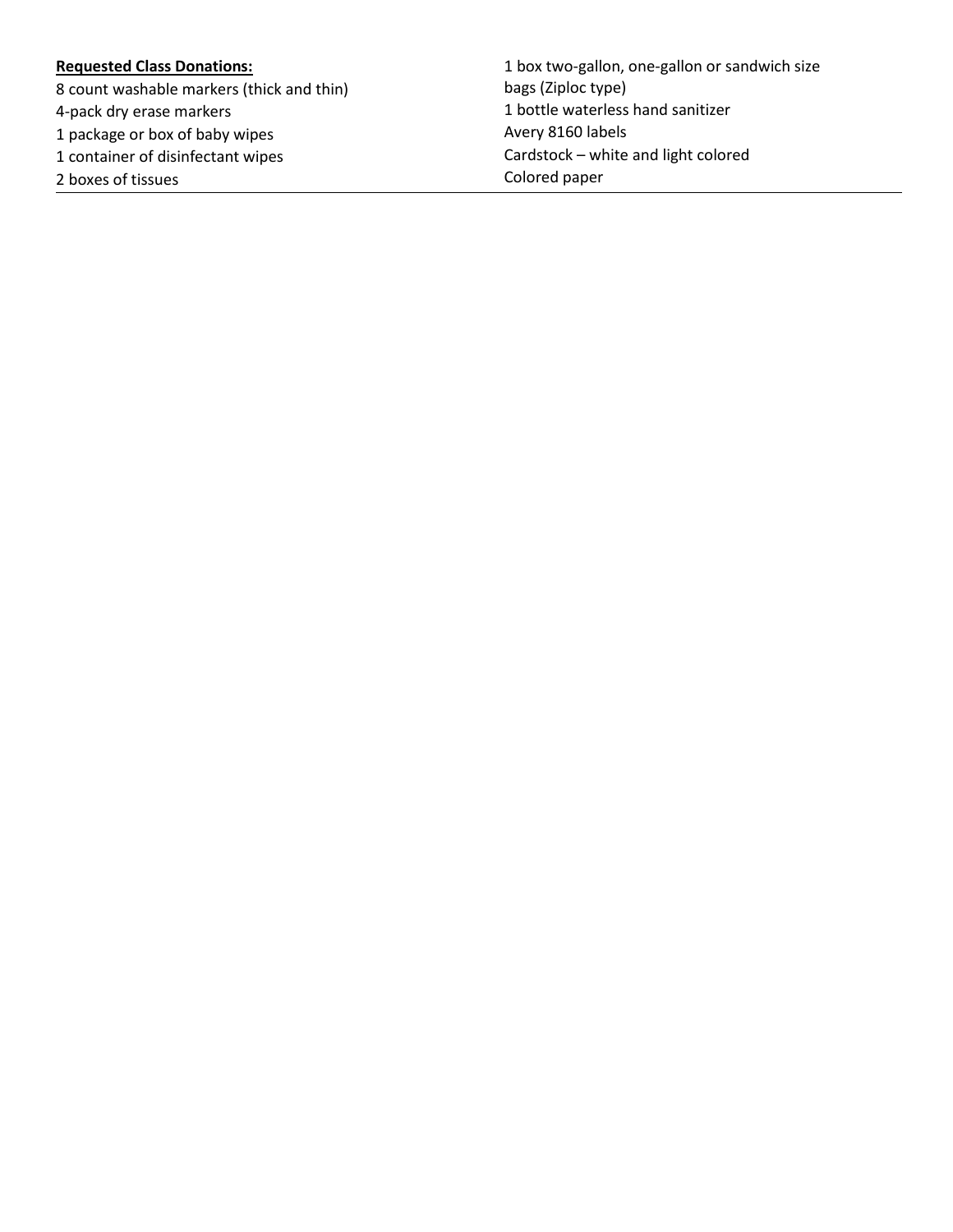## **Requested Class Donations:**

8 count washable markers (thick and thin)

4-pack dry erase markers

1 package or box of baby wipes

1 container of disinfectant wipes

2 boxes of tissues

1 box two-gallon, one-gallon or sandwich size bags (Ziploc type) 1 bottle waterless hand sanitizer Avery 8160 labels Cardstock – white and light colored Colored paper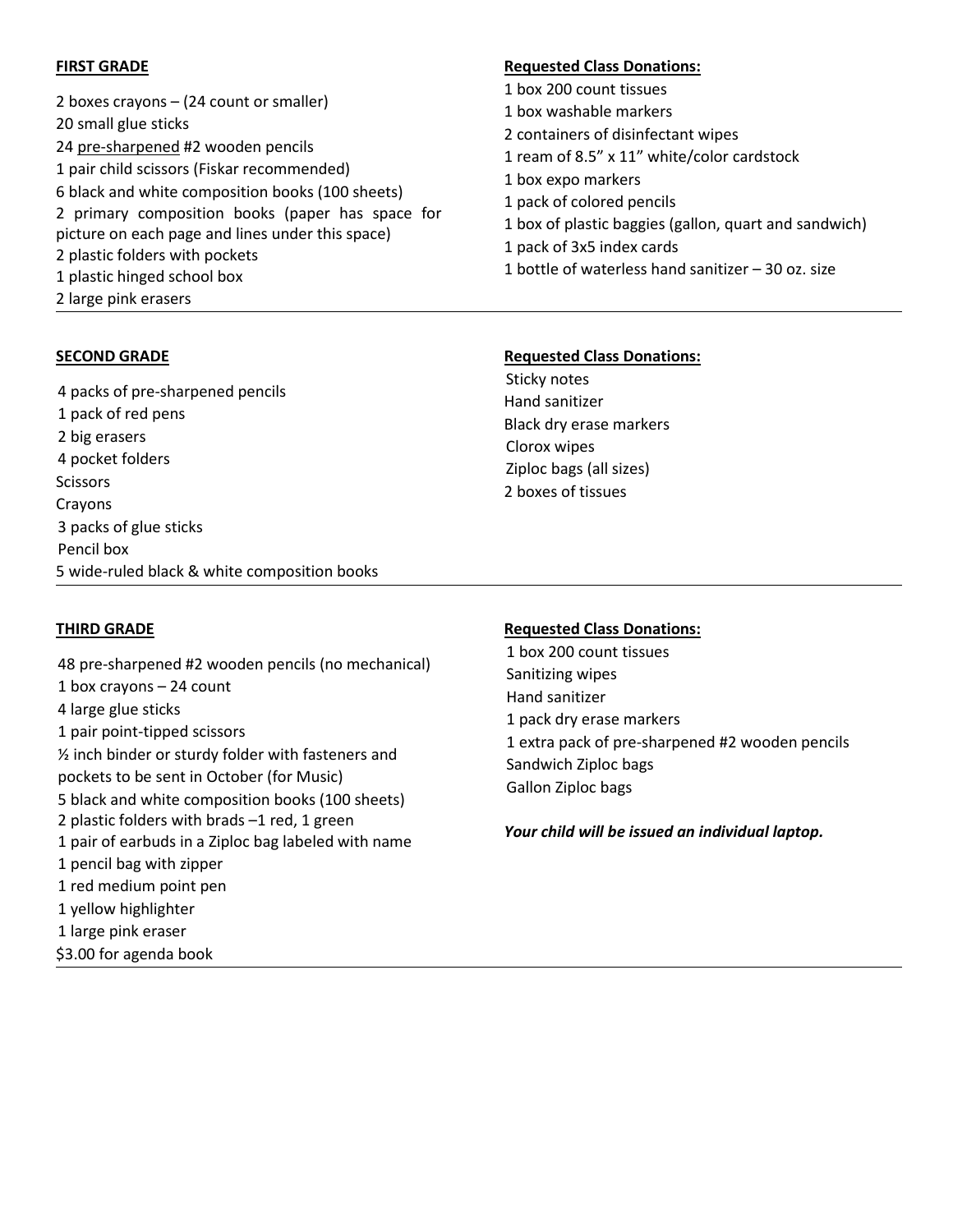## **FIRST GRADE**

2 boxes crayons – (24 count or smaller) 20 small glue sticks 24 pre-sharpened #2 wooden pencils 1 pair child scissors (Fiskar recommended) 6 black and white composition books (100 sheets) 2 primary composition books (paper has space for picture on each page and lines under this space) 2 plastic folders with pockets 1 plastic hinged school box 2 large pink erasers

## **SECOND GRADE**

4 packs of pre-sharpened pencils 1 pack of red pens 2 big erasers 4 pocket folders **Scissors** Crayons 3 packs of glue sticks Pencil box 5 wide-ruled black & white composition books

#### **Requested Class Donations:**

1 box 200 count tissues 1 box washable markers 2 containers of disinfectant wipes 1 ream of 8.5" x 11" white/color cardstock 1 box expo markers 1 pack of colored pencils 1 box of plastic baggies (gallon, quart and sandwich) 1 pack of 3x5 index cards 1 bottle of waterless hand sanitizer – 30 oz. size

## **Requested Class Donations:**

Sticky notes Hand sanitizer Black dry erase markers Clorox wipes Ziploc bags (all sizes) 2 boxes of tissues

## **THIRD GRADE**

48 pre-sharpened #2 wooden pencils (no mechanical) 1 box crayons – 24 count 4 large glue sticks 1 pair point-tipped scissors ½ inch binder or sturdy folder with fasteners and pockets to be sent in October (for Music) 5 black and white composition books (100 sheets) 2 plastic folders with brads –1 red, 1 green 1 pair of earbuds in a Ziploc bag labeled with name 1 pencil bag with zipper 1 red medium point pen 1 yellow highlighter 1 large pink eraser \$3.00 for agenda book

### **Requested Class Donations:**

1 box 200 count tissues Sanitizing wipes Hand sanitizer 1 pack dry erase markers 1 extra pack of pre-sharpened #2 wooden pencils Sandwich Ziploc bags Gallon Ziploc bags

*Your child will be issued an individual laptop.*